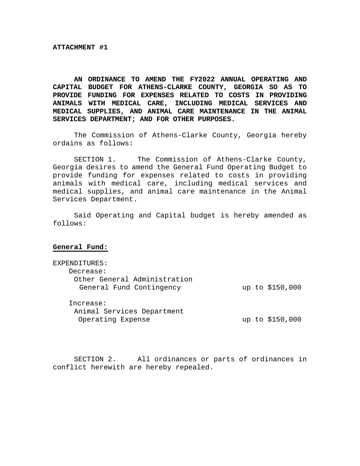**AN ORDINANCE TO AMEND THE FY2022 ANNUAL OPERATING AND CAPITAL BUDGET FOR ATHENS-CLARKE COUNTY, GEORGIA SO AS TO PROVIDE FUNDING FOR EXPENSES RELATED TO COSTS IN PROVIDING ANIMALS WITH MEDICAL CARE, INCLUDING MEDICAL SERVICES AND MEDICAL SUPPLIES, AND ANIMAL CARE MAINTENANCE IN THE ANIMAL SERVICES DEPARTMENT; AND FOR OTHER PURPOSES.** 

 The Commission of Athens-Clarke County, Georgia hereby ordains as follows:

 SECTION 1. The Commission of Athens-Clarke County, Georgia desires to amend the General Fund Operating Budget to provide funding for expenses related to costs in providing animals with medical care, including medical services and medical supplies, and animal care maintenance in the Animal Services Department.

Said Operating and Capital budget is hereby amended as follows:

#### **General Fund:**

| EXPENDITURES:                |                 |
|------------------------------|-----------------|
| Decrease:                    |                 |
| Other General Administration |                 |
| General Fund Contingency     | up to \$150,000 |
|                              |                 |
| Increase:                    |                 |
| Animal Services Department   |                 |
| Operating Expense            | up to \$150,000 |
|                              |                 |

SECTION 2. All ordinances or parts of ordinances in conflict herewith are hereby repealed.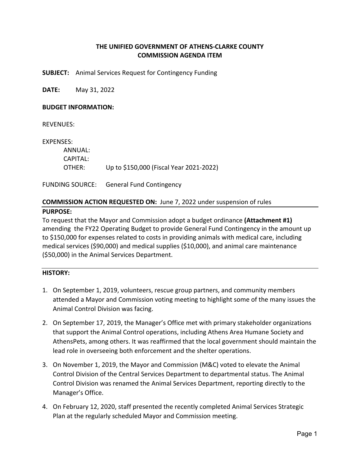# **THE UNIFIED GOVERNMENT OF ATHENS‐CLARKE COUNTY COMMISSION AGENDA ITEM**

**SUBJECT:**  Animal Services Request for Contingency Funding

**DATE:**  May 31, 2022

#### **BUDGET INFORMATION:**

REVENUES:

EXPENSES:

 ANNUAL: CAPITAL: OTHER: Up to \$150,000 (Fiscal Year 2021‐2022)

FUNDING SOURCE: General Fund Contingency

# **COMMISSION ACTION REQUESTED ON:** June 7, 2022 under suspension of rules

## **PURPOSE:**

To request that the Mayor and Commission adopt a budget ordinance **(Attachment #1)**  amending the FY22 Operating Budget to provide General Fund Contingency in the amount up to \$150,000 for expenses related to costs in providing animals with medical care, including medical services (\$90,000) and medical supplies (\$10,000), and animal care maintenance (\$50,000) in the Animal Services Department.

# **HISTORY:**

- 1. On September 1, 2019, volunteers, rescue group partners, and community members attended a Mayor and Commission voting meeting to highlight some of the many issues the Animal Control Division was facing.
- 2. On September 17, 2019, the Manager's Office met with primary stakeholder organizations that support the Animal Control operations, including Athens Area Humane Society and AthensPets, among others. It was reaffirmed that the local government should maintain the lead role in overseeing both enforcement and the shelter operations.
- 3. On November 1, 2019, the Mayor and Commission (M&C) voted to elevate the Animal Control Division of the Central Services Department to departmental status. The Animal Control Division was renamed the Animal Services Department, reporting directly to the Manager's Office.
- 4. On February 12, 2020, staff presented the recently completed Animal Services Strategic Plan at the regularly scheduled Mayor and Commission meeting.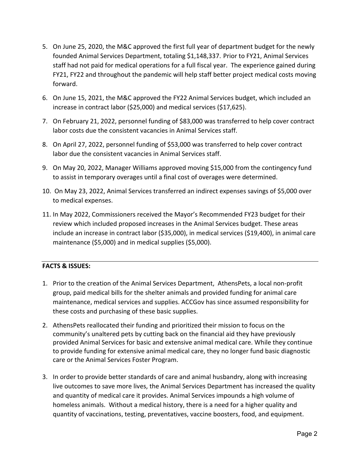- 5. On June 25, 2020, the M&C approved the first full year of department budget for the newly founded Animal Services Department, totaling \$1,148,337. Prior to FY21, Animal Services staff had not paid for medical operations for a full fiscal year. The experience gained during FY21, FY22 and throughout the pandemic will help staff better project medical costs moving forward.
- 6. On June 15, 2021, the M&C approved the FY22 Animal Services budget, which included an increase in contract labor (\$25,000) and medical services (\$17,625).
- 7. On February 21, 2022, personnel funding of \$83,000 was transferred to help cover contract labor costs due the consistent vacancies in Animal Services staff.
- 8. On April 27, 2022, personnel funding of \$53,000 was transferred to help cover contract labor due the consistent vacancies in Animal Services staff.
- 9. On May 20, 2022, Manager Williams approved moving \$15,000 from the contingency fund to assist in temporary overages until a final cost of overages were determined.
- 10. On May 23, 2022, Animal Services transferred an indirect expenses savings of \$5,000 over to medical expenses.
- 11. In May 2022, Commissioners received the Mayor's Recommended FY23 budget for their review which included proposed increases in the Animal Services budget. These areas include an increase in contract labor (\$35,000), in medical services (\$19,400), in animal care maintenance (\$5,000) and in medical supplies (\$5,000).

# **FACTS & ISSUES:**

- 1. Prior to the creation of the Animal Services Department, AthensPets, a local non‐profit group, paid medical bills for the shelter animals and provided funding for animal care maintenance, medical services and supplies. ACCGov has since assumed responsibility for these costs and purchasing of these basic supplies.
- 2. AthensPets reallocated their funding and prioritized their mission to focus on the community's unaltered pets by cutting back on the financial aid they have previously provided Animal Services for basic and extensive animal medical care. While they continue to provide funding for extensive animal medical care, they no longer fund basic diagnostic care or the Animal Services Foster Program.
- 3. In order to provide better standards of care and animal husbandry, along with increasing live outcomes to save more lives, the Animal Services Department has increased the quality and quantity of medical care it provides. Animal Services impounds a high volume of homeless animals. Without a medical history, there is a need for a higher quality and quantity of vaccinations, testing, preventatives, vaccine boosters, food, and equipment.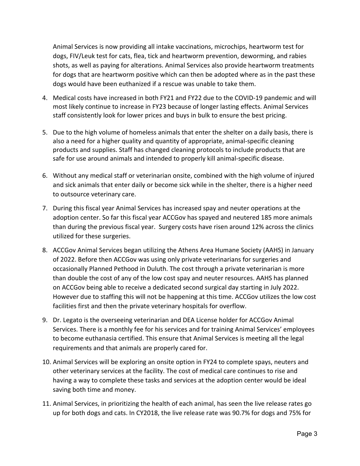Animal Services is now providing all intake vaccinations, microchips, heartworm test for dogs, FIV/Leuk test for cats, flea, tick and heartworm prevention, deworming, and rabies shots, as well as paying for alterations. Animal Services also provide heartworm treatments for dogs that are heartworm positive which can then be adopted where as in the past these dogs would have been euthanized if a rescue was unable to take them.

- 4. Medical costs have increased in both FY21 and FY22 due to the COVID‐19 pandemic and will most likely continue to increase in FY23 because of longer lasting effects. Animal Services staff consistently look for lower prices and buys in bulk to ensure the best pricing.
- 5. Due to the high volume of homeless animals that enter the shelter on a daily basis, there is also a need for a higher quality and quantity of appropriate, animal‐specific cleaning products and supplies. Staff has changed cleaning protocols to include products that are safe for use around animals and intended to properly kill animal‐specific disease.
- 6. Without any medical staff or veterinarian onsite, combined with the high volume of injured and sick animals that enter daily or become sick while in the shelter, there is a higher need to outsource veterinary care.
- 7. During this fiscal year Animal Services has increased spay and neuter operations at the adoption center. So far this fiscal year ACCGov has spayed and neutered 185 more animals than during the previous fiscal year. Surgery costs have risen around 12% across the clinics utilized for these surgeries.
- 8. ACCGov Animal Services began utilizing the Athens Area Humane Society (AAHS) in January of 2022. Before then ACCGov was using only private veterinarians for surgeries and occasionally Planned Pethood in Duluth. The cost through a private veterinarian is more than double the cost of any of the low cost spay and neuter resources. AAHS has planned on ACCGov being able to receive a dedicated second surgical day starting in July 2022. However due to staffing this will not be happening at this time. ACCGov utilizes the low cost facilities first and then the private veterinary hospitals for overflow.
- 9. Dr. Legato is the overseeing veterinarian and DEA License holder for ACCGov Animal Services. There is a monthly fee for his services and for training Animal Services' employees to become euthanasia certified. This ensure that Animal Services is meeting all the legal requirements and that animals are properly cared for.
- 10. Animal Services will be exploring an onsite option in FY24 to complete spays, neuters and other veterinary services at the facility. The cost of medical care continues to rise and having a way to complete these tasks and services at the adoption center would be ideal saving both time and money.
- 11. Animal Services, in prioritizing the health of each animal, has seen the live release rates go up for both dogs and cats. In CY2018, the live release rate was 90.7% for dogs and 75% for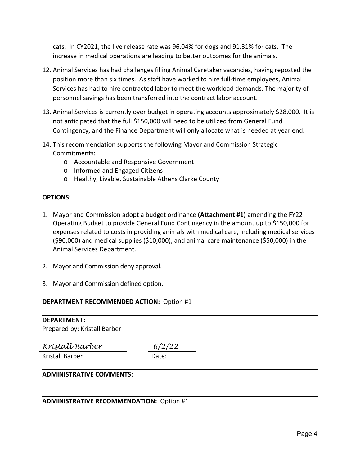cats. In CY2021, the live release rate was 96.04% for dogs and 91.31% for cats. The increase in medical operations are leading to better outcomes for the animals.

- 12. Animal Services has had challenges filling Animal Caretaker vacancies, having reposted the position more than six times. As staff have worked to hire full-time employees, Animal Services has had to hire contracted labor to meet the workload demands. The majority of personnel savings has been transferred into the contract labor account.
- 13. Animal Services is currently over budget in operating accounts approximately \$28,000. It is not anticipated that the full \$150,000 will need to be utilized from General Fund Contingency, and the Finance Department will only allocate what is needed at year end.
- 14. This recommendation supports the following Mayor and Commission Strategic Commitments:
	- o Accountable and Responsive Government
	- o Informed and Engaged Citizens
	- o Healthy, Livable, Sustainable Athens Clarke County

## **OPTIONS:**

- 1. Mayor and Commission adopt a budget ordinance **(Attachment #1)** amending the FY22 Operating Budget to provide General Fund Contingency in the amount up to \$150,000 for expenses related to costs in providing animals with medical care, including medical services (\$90,000) and medical supplies (\$10,000), and animal care maintenance (\$50,000) in the Animal Services Department.
- 2. Mayor and Commission deny approval.
- 3. Mayor and Commission defined option.

# **DEPARTMENT RECOMMENDED ACTION: Option #1**

# **DEPARTMENT:**

Prepared by: Kristall Barber

*Kristall Barber 6/2/22* 

Kristall Barber

# **ADMINISTRATIVE COMMENTS:**

# **ADMINISTRATIVE RECOMMENDATION: Option #1**